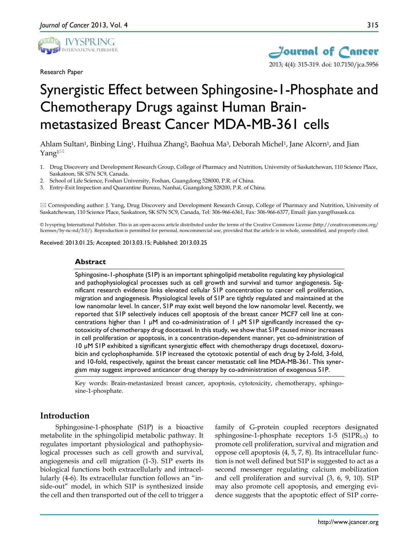

Research Paper



# Synergistic Effect between Sphingosine-1-Phosphate and Chemotherapy Drugs against Human Brainmetastasized Breast Cancer MDA-MB-361 cells

Ahlam Sultan<sup>1</sup>, Binbing Ling<sup>1</sup>, Huihua Zhang<sup>2</sup>, Baohua Ma<sup>3</sup>, Deborah Michel<sup>1</sup>, Jane Alcorn<sup>1</sup>, and Jian Yang $1^{\boxtimes}$ 

- 1. Drug Discovery and Development Research Group, College of Pharmacy and Nutrition, University of Saskatchewan, 110 Science Place, Saskatoon, SK S7N 5C9, Canada.
- 2. School of Life Science, Foshan University, Foshan, Guangdong 528000, P.R. of China.
- 3. Entry-Exit Inspection and Quarantine Bureau, Nanhai, Guangdong 528200, P.R. of China.

 Corresponding author: J. Yang, Drug Discovery and Development Research Group, College of Pharmacy and Nutrition, University of Saskatchewan, 110 Science Place, Saskatoon, SK S7N 5C9, Canada, Tel: 306-966-6361, Fax: 306-966-6377, Email: jian.yang@usask.ca.

© Ivyspring International Publisher. This is an open-access article distributed under the terms of the Creative Commons License (http://creativecommons.org/ licenses/by-nc-nd/3.0/). Reproduction is permitted for personal, noncommercial use, provided that the article is in whole, unmodified, and properly cited.

Received: 2013.01.25; Accepted: 2013.03.15; Published: 2013.03.25

#### **Abstract**

Sphingosine-1-phosphate (S1P) is an important sphingolipid metabolite regulating key physiological and pathophysiological processes such as cell growth and survival and tumor angiogenesis. Significant research evidence links elevated cellular S1P concentration to cancer cell proliferation, migration and angiogenesis. Physiological levels of S1P are tightly regulated and maintained at the low nanomolar level. In cancer, S1P may exist well beyond the low nanomolar level. Recently, we reported that S1P selectively induces cell apoptosis of the breast cancer MCF7 cell line at concentrations higher than 1  $\mu$ M and co-administration of 1  $\mu$ M SIP significantly increased the cytotoxicity of chemotherapy drug docetaxel. In this study, we show that S1P caused minor increases in cell proliferation or apoptosis, in a concentration-dependent manner, yet co-administration of 10 µM S1P exhibited a significant synergistic effect with chemotherapy drugs docetaxel, doxorubicin and cyclophosphamide. S1P increased the cytotoxic potential of each drug by 2-fold, 3-fold, and 10-fold, respectively, against the breast cancer metastatic cell line MDA-MB-361. This synergism may suggest improved anticancer drug therapy by co-administration of exogenous S1P.

Key words: Brain-metastasized breast cancer, apoptosis, cytotoxicity, chemotherapy, sphingosine-1-phosphate.

# **Introduction**

Sphingosine-1-phosphate (S1P) is a bioactive metabolite in the sphingolipid metabolic pathway. It regulates important physiological and pathophysiological processes such as cell growth and survival, angiogenesis and cell migration (1-3). S1P exerts its biological functions both extracellularly and intracellularly (4-6). Its extracellular function follows an "inside-out" model, in which S1P is synthesized inside the cell and then transported out of the cell to trigger a

family of G-protein coupled receptors designated sphingosine-1-phosphate receptors  $1-5$  (S1PR<sub>1-5</sub>) to promote cell proliferation, survival and migration and oppose cell apoptosis (4, 5, 7, 8). Its intracellular function is not well defined but S1P is suggested to act as a second messenger regulating calcium mobilization and cell proliferation and survival (3, 6, 9, 10). S1P may also promote cell apoptosis, and emerging evidence suggests that the apoptotic effect of S1P corre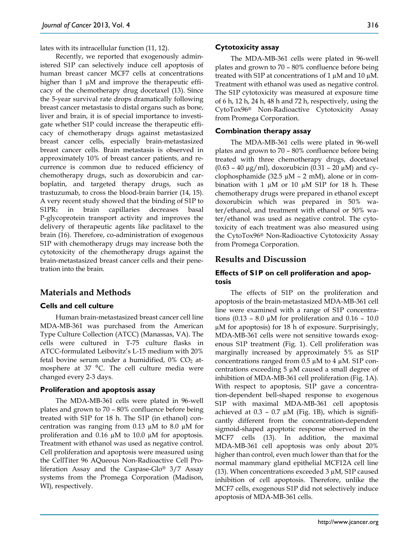lates with its intracellular function (11, 12).

Recently, we reported that exogenously administered S1P can selectively induce cell apoptosis of human breast cancer MCF7 cells at concentrations higher than 1  $\mu$ M and improve the therapeutic efficacy of the chemotherapy drug docetaxel (13). Since the 5-year survival rate drops dramatically following breast cancer metastasis to distal organs such as bone, liver and brain, it is of special importance to investigate whether S1P could increase the therapeutic efficacy of chemotherapy drugs against metastasized breast cancer cells, especially brain-metastasized breast cancer cells. Brain metastasis is observed in approximately 10% of breast cancer patients, and recurrence is common due to reduced efficiency of chemotherapy drugs, such as doxorubicin and carboplatin, and targeted therapy drugs, such as trastuzumab, to cross the blood-brain barrier (14, 15). A very recent study showed that the binding of S1P to S1PR1 in brain capillaries decreases basal P-glycoprotein transport activity and improves the delivery of therapeutic agents like paclitaxel to the brain (16). Therefore, co-administration of exogenous S1P with chemotherapy drugs may increase both the cytotoxicity of the chemotherapy drugs against the brain-metastasized breast cancer cells and their penetration into the brain.

## **Materials and Methods**

## **Cells and cell culture**

Human brain-metastasized breast cancer cell line MDA-MB-361 was purchased from the American Type Culture Collection (ATCC) (Manassas, VA). The cells were cultured in T-75 culture flasks in ATCC-formulated Leibovitz's L-15 medium with 20% fetal bovine serum under a humidified,  $0\%$  CO<sub>2</sub> atmosphere at  $37 \text{ °C}$ . The cell culture media were changed every 2-3 days.

#### **Proliferation and apoptosis assay**

The MDA-MB-361 cells were plated in 96-well plates and grown to 70 – 80% confluence before being treated with S1P for 18 h. The S1P (in ethanol) concentration was ranging from  $0.13 \mu M$  to  $8.0 \mu M$  for proliferation and 0.16  $\mu$ M to 10.0  $\mu$ M for apoptosis. Treatment with ethanol was used as negative control. Cell proliferation and apoptosis were measured using the CellTiter 96 AQueous Non-Radioactive Cell Proliferation Assay and the Caspase-Glo® 3/7 Assay systems from the Promega Corporation (Madison, WI), respectively.

#### **Cytotoxicity assay**

The MDA-MB-361 cells were plated in 96-well plates and grown to 70 – 80% confluence before being treated with S1P at concentrations of 1  $\mu$ M and 10  $\mu$ M. Treatment with ethanol was used as negative control. The S1P cytotoxicity was measured at exposure time of 6 h, 12 h, 24 h, 48 h and 72 h, respectively, using the CytoTox96® Non-Radioactive Cytotoxicity Assay from Promega Corporation.

#### **Combination therapy assay**

The MDA-MB-361 cells were plated in 96-well plates and grown to 70 – 80% confluence before being treated with three chemotherapy drugs, docetaxel  $(0.63 - 40 \,\mu g/ml)$ , doxorubicin  $(0.31 - 20 \,\mu M)$  and cyclophosphamide (32.5  $\mu$ M – 2 mM), alone or in combination with 1  $\mu$ M or 10  $\mu$ M S1P for 18 h. These chemotherapy drugs were prepared in ethanol except doxorubicin which was prepared in 50% water/ethanol, and treatment with ethanol or 50% water/ethanol was used as negative control. The cytotoxicity of each treatment was also measured using the CytoTox96® Non-Radioactive Cytotoxicity Assay from Promega Corporation.

### **Results and Discussion**

## **Effects of S1P on cell proliferation and apoptosis**

The effects of S1P on the proliferation and apoptosis of the brain-metastasized MDA-MB-361 cell line were examined with a range of S1P concentrations (0.13 – 8.0  $\mu$ M for proliferation and 0.16 – 10.0 µM for apoptosis) for 18 h of exposure. Surprisingly, MDA-MB-361 cells were not sensitive towards exogenous S1P treatment (Fig. 1). Cell proliferation was marginally increased by approximately 5% as S1P concentrations ranged from  $0.5 \mu M$  to  $4 \mu M$ . S1P concentrations exceeding 5 µM caused a small degree of inhibition of MDA-MB-361 cell proliferation (Fig. 1A). With respect to apoptosis, S1P gave a concentration-dependent bell-shaped response to exogenous S1P with maximal MDA-MB-361 cell apoptosis achieved at  $0.3 - 0.7 \mu M$  (Fig. 1B), which is significantly different from the concentration-dependent sigmoid-shaped apoptotic response observed in the MCF7 cells (13). In addition, the maximal MDA-MB-361 cell apoptosis was only about 20% higher than control, even much lower than that for the normal mammary gland epithelial MCF12A cell line (13). When concentrations exceeded  $3 \mu$ M, S1P caused inhibition of cell apoptosis. Therefore, unlike the MCF7 cells, exogenous S1P did not selectively induce apoptosis of MDA-MB-361 cells.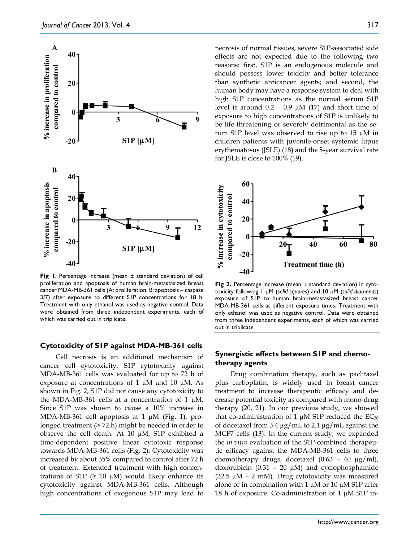

**Fig 1**. Percentage increase (mean ± standard deviation) of cell proliferation and apoptosis of human brain-metastasized breast cancer MDA-MB-361 cells (A: proliferation; B: apoptosis – caspase 3/7) after exposure to different S1P concentrations for 18 h. Treatment with only ethanol was used as negative control. Data were obtained from three independent experiments, each of which was carried out in triplicate.

### **Cytotoxicity of S1P against MDA-MB-361 cells**

Cell necrosis is an additional mechanism of cancer cell cytotoxicity. S1P cytotoxicity against MDA-MB-361 cells was evaluated for up to 72 h of exposure at concentrations of 1  $\mu$ M and 10  $\mu$ M. As shown in Fig. 2, S1P did not cause any cytotoxicity to the MDA-MB-361 cells at a concentration of 1  $\mu$ M. Since S1P was shown to cause a 10% increase in MDA-MB-361 cell apoptosis at 1  $\mu$ M (Fig. 1), prolonged treatment (> 72 h) might be needed in order to observe the cell death. At 10 µM, S1P exhibited a time-dependent positive linear cytotoxic response towards MDA-MB-361 cells (Fig. 2). Cytotoxicity was increased by about 35% compared to control after 72 h of treatment. Extended treatment with high concentrations of S1P ( $\geq$  10 µM) would likely enhance its cytotoxicity against MDA-MB-361 cells. Although high concentrations of exogenous S1P may lead to

necrosis of normal tissues, severe S1P-associated side effects are not expected due to the following two reasons: first, S1P is an endogenous molecule and should possess lower toxicity and better tolerance than synthetic anticancer agents; and second, the human body may have a response system to deal with high S1P concentrations as the normal serum S1P level is around  $0.2 - 0.9 \mu M$  (17) and short time of exposure to high concentrations of S1P is unlikely to be life-threatening or severely detrimental as the serum S1P level was observed to rise up to 15 µM in children patients with juvenile-onset systemic lupus erythematosus (JSLE) (18) and the 5-year survival rate for JSLE is close to 100% (19).



**Fig 2.** Percentage increase (mean ± standard deviation) in cytotoxicity following 1 µM (*solid squares*) and 10 µM (*solid diamonds*) exposure of S1P to human brain-metastasized breast cancer MDA-MB-361 cells at different exposure times. Treatment with only ethanol was used as negative control. Data were obtained from three independent experiments, each of which was carried out in triplicate.

# **Synergistic effects between S1P and chemotherapy agents**

Drug combination therapy, such as paclitaxel plus carboplatin, is widely used in breast cancer treatment to increase therapeutic efficacy and decrease potential toxicity as compared with mono-drug therapy (20, 21). In our previous study, we showed that co-administration of 1  $\mu$ M S1P reduced the EC<sub>50</sub> of docetaxel from 3.4  $\mu$ g/mL to 2.1  $\mu$ g/mL against the MCF7 cells (13). In the current study, we expanded the *in vitro* evaluation of the S1P-combined therapeutic efficacy against the MDA-MB-361 cells to three chemotherapy drugs, docetaxel (0.63 – 40 µg/ml), doxorubicin (0.31 – 20  $\mu$ M) and cyclophosphamide (32.5  $\mu$ M – 2 mM). Drug cytotoxicity was measured alone or in combination with 1  $\mu$ M or 10  $\mu$ M S1P after 18 h of exposure. Co-administration of 1 µM S1P in-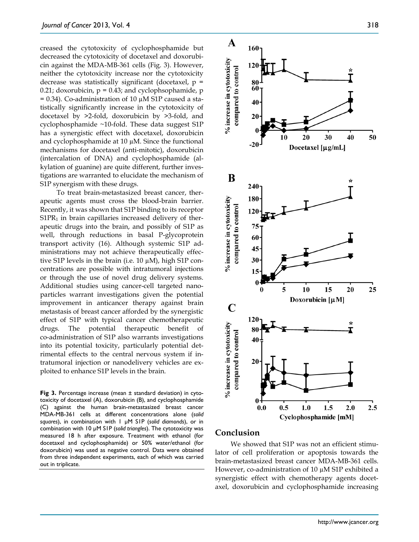creased the cytotoxicity of cyclophosphamide but decreased the cytotoxicity of docetaxel and doxorubicin against the MDA-MB-361 cells (Fig. 3). However, neither the cytotoxicity increase nor the cytotoxicity decrease was statistically significant (docetaxel,  $p =$ 0.21; doxorubicin,  $p = 0.43$ ; and cyclophsophamide, p  $= 0.34$ ). Co-administration of 10  $\mu$ M S1P caused a statistically significantly increase in the cytotoxicity of docetaxel by >2-fold, doxorubicin by >3-fold, and cyclophosphamide ~10-fold. These data suggest S1P has a synergistic effect with docetaxel, doxorubicin and cyclophosphamide at 10 µM. Since the functional mechanisms for docetaxel (anti-mitotic), doxorubicin (intercalation of DNA) and cyclophosphamide (alkylation of guanine) are quite different, further investigations are warranted to elucidate the mechanism of S1P synergism with these drugs.

To treat brain-metastasized breast cancer, therapeutic agents must cross the blood-brain barrier. Recently, it was shown that S1P binding to its receptor  $S1PR<sub>1</sub>$  in brain capillaries increased delivery of therapeutic drugs into the brain, and possibly of S1P as well, through reductions in basal P-glycoprotein transport activity (16). Although systemic S1P administrations may not achieve therapeutically effective S1P levels in the brain (i.e. 10 µM), high S1P concentrations are possible with intratumoral injections or through the use of novel drug delivery systems. Additional studies using cancer-cell targeted nanoparticles warrant investigations given the potential improvement in anticancer therapy against brain metastasis of breast cancer afforded by the synergistic effect of S1P with typical cancer chemotherapeutic drugs. The potential therapeutic benefit of co-administration of S1P also warrants investigations into its potential toxicity, particularly potential detrimental effects to the central nervous system if intratumoral injection or nanodelivery vehicles are exploited to enhance S1P levels in the brain.

**Fig 3.** Percentage increase (mean ± standard deviation) in cytotoxicity of docetaxel (A), doxorubicin (B), and cyclophosphamide (C) against the human brain-metastasized breast cancer MDA-MB-361 cells at different concentrations alone (*solid squares*), in combination with 1 µM S1P (*solid diamonds*), or in combination with 10 µM S1P (*solid triangles*). The cytotoxicity was measured 18 h after exposure. Treatment with ethanol (for docetaxel and cyclophosphamide) or 50% water/ethanol (for doxorubicin) was used as negative control. Data were obtained from three independent experiments, each of which was carried out in triplicate.



# **Conclusion**

We showed that S1P was not an efficient stimulator of cell proliferation or apoptosis towards the brain-metastasized breast cancer MDA-MB-361 cells. However, co-administration of 10 µM S1P exhibited a synergistic effect with chemotherapy agents docetaxel, doxorubicin and cyclophosphamide increasing